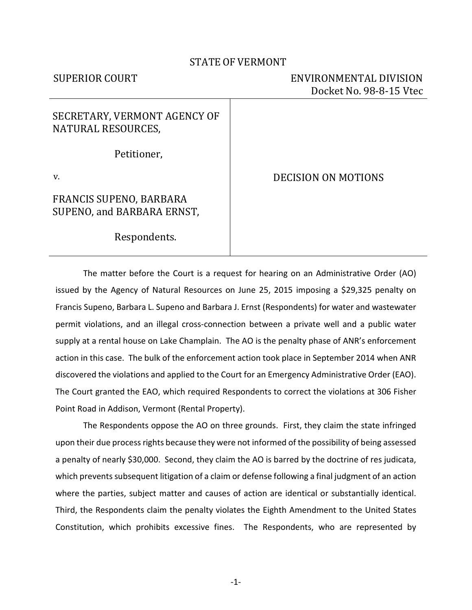### STATE OF VERMONT

# SUPERIOR COURT ENVIRONMENTAL DIVISION Docket No. 98-8-15 Vtec

# SECRETARY, VERMONT AGENCY OF NATURAL RESOURCES,

Petitioner,

v.

# FRANCIS SUPENO, BARBARA SUPENO, and BARBARA ERNST,

DECISION ON MOTIONS

Respondents.

The matter before the Court is a request for hearing on an Administrative Order (AO) issued by the Agency of Natural Resources on June 25, 2015 imposing a \$29,325 penalty on Francis Supeno, Barbara L. Supeno and Barbara J. Ernst (Respondents) for water and wastewater permit violations, and an illegal cross-connection between a private well and a public water supply at a rental house on Lake Champlain. The AO is the penalty phase of ANR's enforcement action in this case. The bulk of the enforcement action took place in September 2014 when ANR discovered the violations and applied to the Court for an Emergency Administrative Order (EAO). The Court granted the EAO, which required Respondents to correct the violations at 306 Fisher Point Road in Addison, Vermont (Rental Property).

 The Respondents oppose the AO on three grounds. First, they claim the state infringed upon their due process rights because they were not informed of the possibility of being assessed a penalty of nearly \$30,000. Second, they claim the AO is barred by the doctrine of res judicata, which prevents subsequent litigation of a claim or defense following a final judgment of an action where the parties, subject matter and causes of action are identical or substantially identical. Third, the Respondents claim the penalty violates the Eighth Amendment to the United States Constitution, which prohibits excessive fines. The Respondents, who are represented by

-1-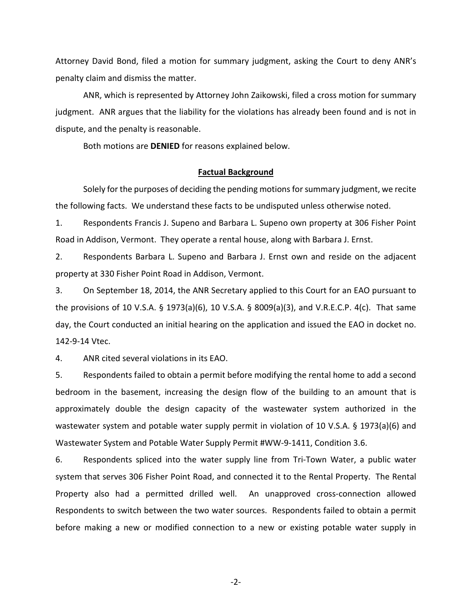Attorney David Bond, filed a motion for summary judgment, asking the Court to deny ANR's penalty claim and dismiss the matter.

ANR, which is represented by Attorney John Zaikowski, filed a cross motion for summary judgment. ANR argues that the liability for the violations has already been found and is not in dispute, and the penalty is reasonable.

Both motions are **DENIED** for reasons explained below.

#### **Factual Background**

 Solely for the purposes of deciding the pending motions for summary judgment, we recite the following facts. We understand these facts to be undisputed unless otherwise noted.

1. Respondents Francis J. Supeno and Barbara L. Supeno own property at 306 Fisher Point Road in Addison, Vermont. They operate a rental house, along with Barbara J. Ernst.

2. Respondents Barbara L. Supeno and Barbara J. Ernst own and reside on the adjacent property at 330 Fisher Point Road in Addison, Vermont.

3. On September 18, 2014, the ANR Secretary applied to this Court for an EAO pursuant to the provisions of 10 V.S.A. § 1973(a)(6), 10 V.S.A. § 8009(a)(3), and V.R.E.C.P. 4(c). That same day, the Court conducted an initial hearing on the application and issued the EAO in docket no. 142-9-14 Vtec.

4. ANR cited several violations in its EAO.

5. Respondents failed to obtain a permit before modifying the rental home to add a second bedroom in the basement, increasing the design flow of the building to an amount that is approximately double the design capacity of the wastewater system authorized in the wastewater system and potable water supply permit in violation of 10 V.S.A. § 1973(a)(6) and Wastewater System and Potable Water Supply Permit #WW-9-1411, Condition 3.6.

6. Respondents spliced into the water supply line from Tri-Town Water, a public water system that serves 306 Fisher Point Road, and connected it to the Rental Property. The Rental Property also had a permitted drilled well. An unapproved cross-connection allowed Respondents to switch between the two water sources. Respondents failed to obtain a permit before making a new or modified connection to a new or existing potable water supply in

-2-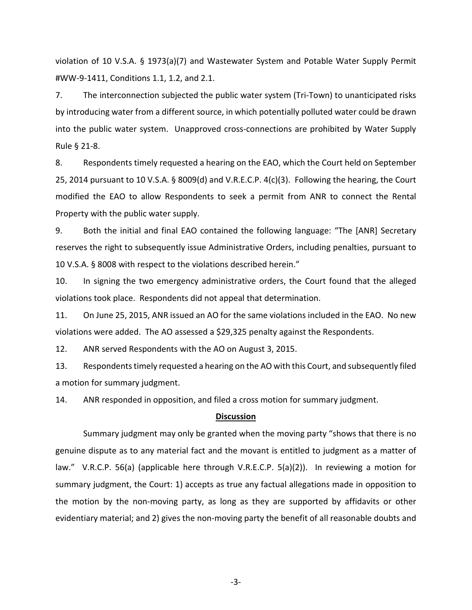violation of 10 V.S.A. § 1973(a)(7) and Wastewater System and Potable Water Supply Permit #WW-9-1411, Conditions 1.1, 1.2, and 2.1.

7. The interconnection subjected the public water system (Tri-Town) to unanticipated risks by introducing water from a different source, in which potentially polluted water could be drawn into the public water system. Unapproved cross-connections are prohibited by Water Supply Rule § 21-8.

8. Respondents timely requested a hearing on the EAO, which the Court held on September 25, 2014 pursuant to 10 V.S.A. § 8009(d) and V.R.E.C.P. 4(c)(3). Following the hearing, the Court modified the EAO to allow Respondents to seek a permit from ANR to connect the Rental Property with the public water supply.

9. Both the initial and final EAO contained the following language: "The [ANR] Secretary reserves the right to subsequently issue Administrative Orders, including penalties, pursuant to 10 V.S.A. § 8008 with respect to the violations described herein."

10. In signing the two emergency administrative orders, the Court found that the alleged violations took place. Respondents did not appeal that determination.

11. On June 25, 2015, ANR issued an AO for the same violations included in the EAO. No new violations were added. The AO assessed a \$29,325 penalty against the Respondents.

12. ANR served Respondents with the AO on August 3, 2015.

13. Respondents timely requested a hearing on the AO with this Court, and subsequently filed a motion for summary judgment.

14. ANR responded in opposition, and filed a cross motion for summary judgment.

#### **Discussion**

Summary judgment may only be granted when the moving party "shows that there is no genuine dispute as to any material fact and the movant is entitled to judgment as a matter of law." V.R.C.P. 56(a) (applicable here through V.R.E.C.P. 5(a)(2)). In reviewing a motion for summary judgment, the Court: 1) accepts as true any factual allegations made in opposition to the motion by the non-moving party, as long as they are supported by affidavits or other evidentiary material; and 2) gives the non-moving party the benefit of all reasonable doubts and

-3-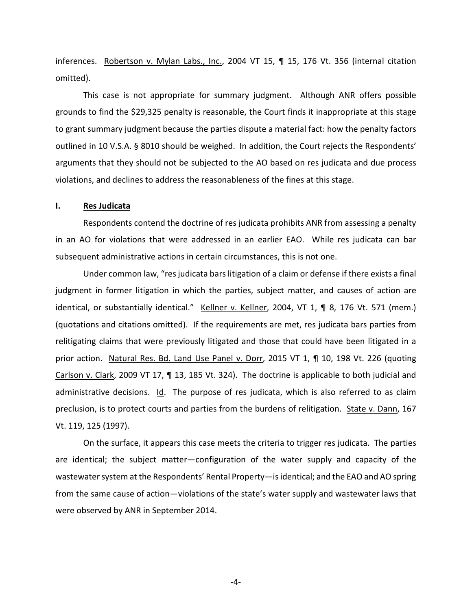inferences. Robertson v. Mylan Labs., Inc., 2004 VT 15, ¶ 15, 176 Vt. 356 (internal citation omitted).

This case is not appropriate for summary judgment. Although ANR offers possible grounds to find the \$29,325 penalty is reasonable, the Court finds it inappropriate at this stage to grant summary judgment because the parties dispute a material fact: how the penalty factors outlined in 10 V.S.A. § 8010 should be weighed. In addition, the Court rejects the Respondents' arguments that they should not be subjected to the AO based on res judicata and due process violations, and declines to address the reasonableness of the fines at this stage.

#### **I. Res Judicata**

Respondents contend the doctrine of res judicata prohibits ANR from assessing a penalty in an AO for violations that were addressed in an earlier EAO. While res judicata can bar subsequent administrative actions in certain circumstances, this is not one.

Under common law, "res judicata bars litigation of a claim or defense if there exists a final judgment in former litigation in which the parties, subject matter, and causes of action are identical, or substantially identical." Kellner v. Kellner, 2004, VT 1, ¶ 8, 176 Vt. 571 (mem.) (quotations and citations omitted). If the requirements are met, res judicata bars parties from relitigating claims that were previously litigated and those that could have been litigated in a prior action. Natural Res. Bd. Land Use Panel v. Dorr, 2015 VT 1, ¶ 10, 198 Vt. 226 (quoting Carlson v. Clark, 2009 VT 17, ¶ 13, 185 Vt. 324). The doctrine is applicable to both judicial and administrative decisions. Id. The purpose of res judicata, which is also referred to as claim preclusion, is to protect courts and parties from the burdens of relitigation. State v. Dann, 167 Vt. 119, 125 (1997).

On the surface, it appears this case meets the criteria to trigger res judicata. The parties are identical; the subject matter—configuration of the water supply and capacity of the wastewater system at the Respondents' Rental Property—is identical; and the EAO and AO spring from the same cause of action—violations of the state's water supply and wastewater laws that were observed by ANR in September 2014.

-4-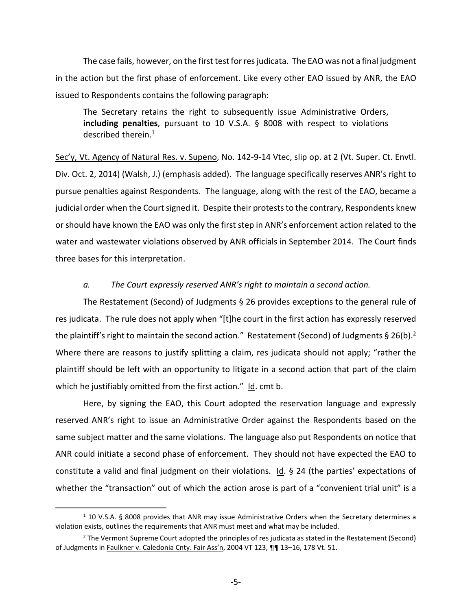The case fails, however, on the first test for res judicata. The EAO was not a final judgment in the action but the first phase of enforcement. Like every other EAO issued by ANR, the EAO issued to Respondents contains the following paragraph:

The Secretary retains the right to subsequently issue Administrative Orders, **including penalties**, pursuant to 10 V.S.A. § 8008 with respect to violations described therein.<sup>1</sup>

Sec'y, Vt. Agency of Natural Res. v. Supeno, No. 142-9-14 Vtec, slip op. at 2 (Vt. Super. Ct. Envtl. Div. Oct. 2, 2014) (Walsh, J.) (emphasis added). The language specifically reserves ANR's right to pursue penalties against Respondents. The language, along with the rest of the EAO, became a judicial order when the Court signed it. Despite their protests to the contrary, Respondents knew or should have known the EAO was only the first step in ANR's enforcement action related to the water and wastewater violations observed by ANR officials in September 2014. The Court finds three bases for this interpretation.

### *a. The Court expressly reserved ANR's right to maintain a second action.*

The Restatement (Second) of Judgments § 26 provides exceptions to the general rule of res judicata. The rule does not apply when "[t]he court in the first action has expressly reserved the plaintiff's right to maintain the second action." Restatement (Second) of Judgments § 26(b).<sup>2</sup> Where there are reasons to justify splitting a claim, res judicata should not apply; "rather the plaintiff should be left with an opportunity to litigate in a second action that part of the claim which he justifiably omitted from the first action." Id. cmt b.

Here, by signing the EAO, this Court adopted the reservation language and expressly reserved ANR's right to issue an Administrative Order against the Respondents based on the same subject matter and the same violations. The language also put Respondents on notice that ANR could initiate a second phase of enforcement. They should not have expected the EAO to constitute a valid and final judgment on their violations. Id. § 24 (the parties' expectations of whether the "transaction" out of which the action arose is part of a "convenient trial unit" is a

.

<sup>&</sup>lt;sup>1</sup> 10 V.S.A. § 8008 provides that ANR may issue Administrative Orders when the Secretary determines a violation exists, outlines the requirements that ANR must meet and what may be included.

<sup>&</sup>lt;sup>2</sup> The Vermont Supreme Court adopted the principles of res judicata as stated in the Restatement (Second) of Judgments in Faulkner v. Caledonia Cnty. Fair Ass'n, 2004 VT 123, ¶¶ 13–16, 178 Vt. 51.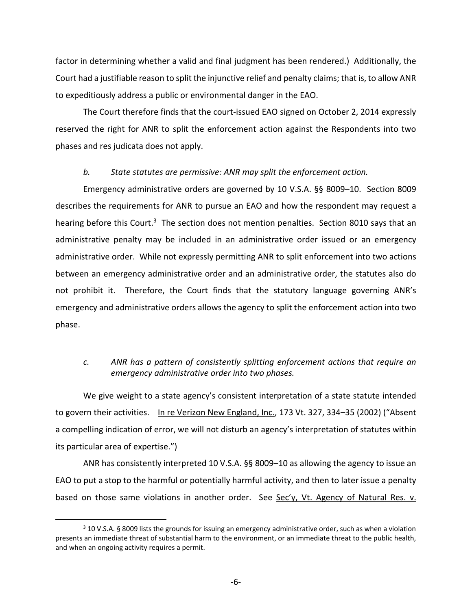factor in determining whether a valid and final judgment has been rendered.) Additionally, the Court had a justifiable reason to split the injunctive relief and penalty claims; that is, to allow ANR to expeditiously address a public or environmental danger in the EAO.

The Court therefore finds that the court-issued EAO signed on October 2, 2014 expressly reserved the right for ANR to split the enforcement action against the Respondents into two phases and res judicata does not apply.

### *b. State statutes are permissive: ANR may split the enforcement action.*

Emergency administrative orders are governed by 10 V.S.A. §§ 8009–10. Section 8009 describes the requirements for ANR to pursue an EAO and how the respondent may request a hearing before this Court.<sup>3</sup> The section does not mention penalties. Section 8010 says that an administrative penalty may be included in an administrative order issued or an emergency administrative order. While not expressly permitting ANR to split enforcement into two actions between an emergency administrative order and an administrative order, the statutes also do not prohibit it. Therefore, the Court finds that the statutory language governing ANR's emergency and administrative orders allows the agency to split the enforcement action into two phase.

## *c. ANR has a pattern of consistently splitting enforcement actions that require an emergency administrative order into two phases.*

We give weight to a state agency's consistent interpretation of a state statute intended to govern their activities. In re Verizon New England, Inc., 173 Vt. 327, 334–35 (2002) ("Absent a compelling indication of error, we will not disturb an agency's interpretation of statutes within its particular area of expertise.")

ANR has consistently interpreted 10 V.S.A. §§ 8009–10 as allowing the agency to issue an EAO to put a stop to the harmful or potentially harmful activity, and then to later issue a penalty based on those same violations in another order. See Sec'y, Vt. Agency of Natural Res. v.

1

<sup>&</sup>lt;sup>3</sup> 10 V.S.A. § 8009 lists the grounds for issuing an emergency administrative order, such as when a violation presents an immediate threat of substantial harm to the environment, or an immediate threat to the public health, and when an ongoing activity requires a permit.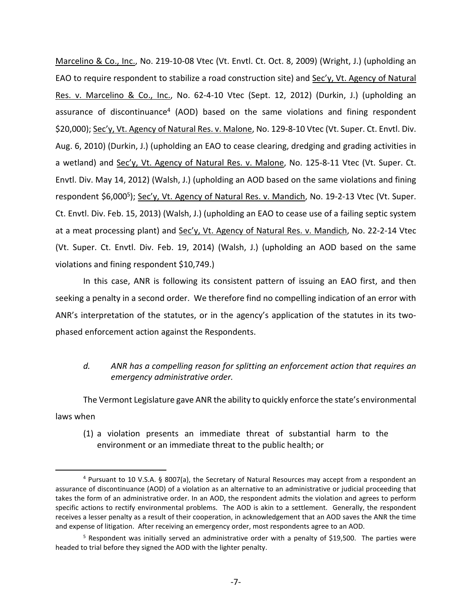Marcelino & Co., Inc., No. 219-10-08 Vtec (Vt. Envtl. Ct. Oct. 8, 2009) (Wright, J.) (upholding an EAO to require respondent to stabilize a road construction site) and Sec'y, Vt. Agency of Natural Res. v. Marcelino & Co., Inc., No. 62-4-10 Vtec (Sept. 12, 2012) (Durkin, J.) (upholding an assurance of discontinuance<sup>4</sup> (AOD) based on the same violations and fining respondent \$20,000); Sec'y, Vt. Agency of Natural Res. v. Malone, No. 129-8-10 Vtec (Vt. Super. Ct. Envtl. Div. Aug. 6, 2010) (Durkin, J.) (upholding an EAO to cease clearing, dredging and grading activities in a wetland) and Sec'y, Vt. Agency of Natural Res. v. Malone, No. 125-8-11 Vtec (Vt. Super. Ct. Envtl. Div. May 14, 2012) (Walsh, J.) (upholding an AOD based on the same violations and fining respondent \$6,000<sup>5</sup>); Sec'y, Vt. Agency of Natural Res. v. Mandich, No. 19-2-13 Vtec (Vt. Super. Ct. Envtl. Div. Feb. 15, 2013) (Walsh, J.) (upholding an EAO to cease use of a failing septic system at a meat processing plant) and Sec'y, Vt. Agency of Natural Res. v. Mandich, No. 22-2-14 Vtec (Vt. Super. Ct. Envtl. Div. Feb. 19, 2014) (Walsh, J.) (upholding an AOD based on the same violations and fining respondent \$10,749.)

In this case, ANR is following its consistent pattern of issuing an EAO first, and then seeking a penalty in a second order. We therefore find no compelling indication of an error with ANR's interpretation of the statutes, or in the agency's application of the statutes in its twophased enforcement action against the Respondents.

## *d. ANR has a compelling reason for splitting an enforcement action that requires an emergency administrative order.*

The Vermont Legislature gave ANR the ability to quickly enforce the state's environmental laws when

(1) a violation presents an immediate threat of substantial harm to the environment or an immediate threat to the public health; or

 $\overline{a}$ 

<sup>4</sup> Pursuant to 10 V.S.A. § 8007(a), the Secretary of Natural Resources may accept from a respondent an assurance of discontinuance (AOD) of a violation as an alternative to an administrative or judicial proceeding that takes the form of an administrative order. In an AOD, the respondent admits the violation and agrees to perform specific actions to rectify environmental problems. The AOD is akin to a settlement. Generally, the respondent receives a lesser penalty as a result of their cooperation, in acknowledgement that an AOD saves the ANR the time and expense of litigation. After receiving an emergency order, most respondents agree to an AOD.

<sup>&</sup>lt;sup>5</sup> Respondent was initially served an administrative order with a penalty of \$19,500. The parties were headed to trial before they signed the AOD with the lighter penalty.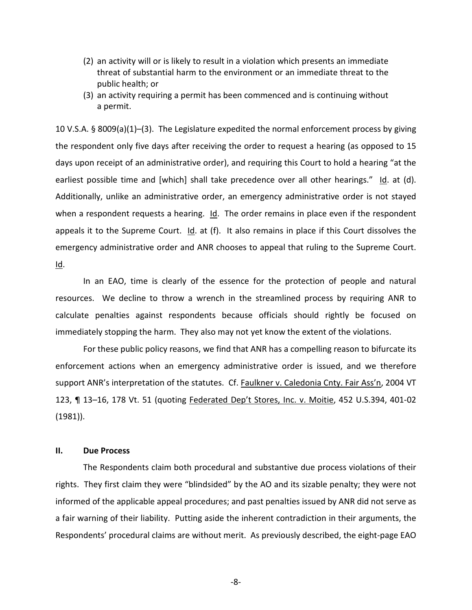- (2) an activity will or is likely to result in a violation which presents an immediate threat of substantial harm to the environment or an immediate threat to the public health; or
- (3) an activity requiring a permit has been commenced and is continuing without a permit.

10 V.S.A. § 8009(a)(1)–(3). The Legislature expedited the normal enforcement process by giving the respondent only five days after receiving the order to request a hearing (as opposed to 15 days upon receipt of an administrative order), and requiring this Court to hold a hearing "at the earliest possible time and [which] shall take precedence over all other hearings." Id. at (d). Additionally, unlike an administrative order, an emergency administrative order is not stayed when a respondent requests a hearing.  $Id$ . The order remains in place even if the respondent appeals it to the Supreme Court.  $Id.$  at (f). It also remains in place if this Court dissolves the emergency administrative order and ANR chooses to appeal that ruling to the Supreme Court. Id.

In an EAO, time is clearly of the essence for the protection of people and natural resources. We decline to throw a wrench in the streamlined process by requiring ANR to calculate penalties against respondents because officials should rightly be focused on immediately stopping the harm. They also may not yet know the extent of the violations.

For these public policy reasons, we find that ANR has a compelling reason to bifurcate its enforcement actions when an emergency administrative order is issued, and we therefore support ANR's interpretation of the statutes. Cf. Faulkner v. Caledonia Cnty. Fair Ass'n, 2004 VT 123, ¶ 13–16, 178 Vt. 51 (quoting Federated Dep't Stores, Inc. v. Moitie, 452 U.S.394, 401-02 (1981)).

## **II. Due Process**

The Respondents claim both procedural and substantive due process violations of their rights. They first claim they were "blindsided" by the AO and its sizable penalty; they were not informed of the applicable appeal procedures; and past penalties issued by ANR did not serve as a fair warning of their liability. Putting aside the inherent contradiction in their arguments, the Respondents' procedural claims are without merit. As previously described, the eight-page EAO

-8-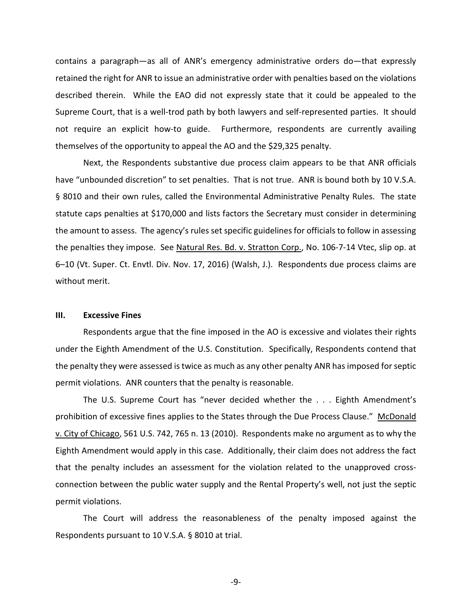contains a paragraph—as all of ANR's emergency administrative orders do—that expressly retained the right for ANR to issue an administrative order with penalties based on the violations described therein. While the EAO did not expressly state that it could be appealed to the Supreme Court, that is a well-trod path by both lawyers and self-represented parties. It should not require an explicit how-to guide. Furthermore, respondents are currently availing themselves of the opportunity to appeal the AO and the \$29,325 penalty.

Next, the Respondents substantive due process claim appears to be that ANR officials have "unbounded discretion" to set penalties. That is not true. ANR is bound both by 10 V.S.A. § 8010 and their own rules, called the Environmental Administrative Penalty Rules. The state statute caps penalties at \$170,000 and lists factors the Secretary must consider in determining the amount to assess. The agency's rules set specific guidelines for officials to follow in assessing the penalties they impose. See Natural Res. Bd. v. Stratton Corp., No. 106-7-14 Vtec, slip op. at 6–10 (Vt. Super. Ct. Envtl. Div. Nov. 17, 2016) (Walsh, J.). Respondents due process claims are without merit.

#### **III. Excessive Fines**

Respondents argue that the fine imposed in the AO is excessive and violates their rights under the Eighth Amendment of the U.S. Constitution. Specifically, Respondents contend that the penalty they were assessed is twice as much as any other penalty ANR has imposed for septic permit violations. ANR counters that the penalty is reasonable.

The U.S. Supreme Court has "never decided whether the . . . Eighth Amendment's prohibition of excessive fines applies to the States through the Due Process Clause." McDonald v. City of Chicago, 561 U.S. 742, 765 n. 13 (2010). Respondents make no argument as to why the Eighth Amendment would apply in this case. Additionally, their claim does not address the fact that the penalty includes an assessment for the violation related to the unapproved crossconnection between the public water supply and the Rental Property's well, not just the septic permit violations.

The Court will address the reasonableness of the penalty imposed against the Respondents pursuant to 10 V.S.A. § 8010 at trial.

-9-